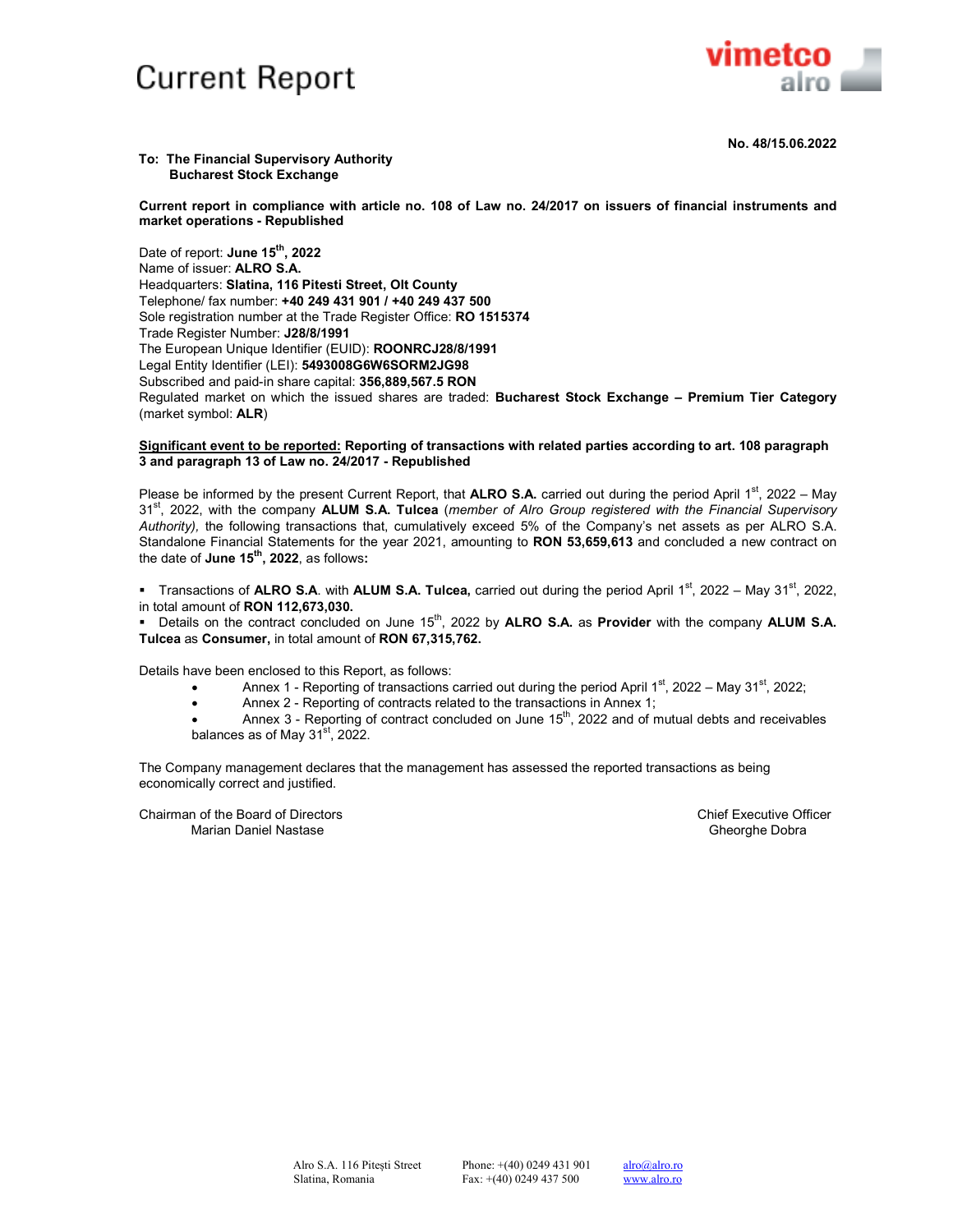## **Current Report**



#### **To: The Financial Supervisory Authority Bucharest Stock Exchange**

**Current report in compliance with article no. 108 of Law no. 24/2017 on issuers of financial instruments and market operations - Republished** 

Date of report: **June 15th, 2022**  Name of issuer: **ALRO S.A.** Headquarters: **Slatina, 116 Pitesti Street, Olt County** Telephone/ fax number: **+40 249 431 901 / +40 249 437 500** Sole registration number at the Trade Register Office: **RO 1515374** Trade Register Number: **J28/8/1991**  The European Unique Identifier (EUID): **ROONRCJ28/8/1991**  Legal Entity Identifier (LEI): **5493008G6W6SORM2JG98** Subscribed and paid-in share capital: **356,889,567.5 RON** Regulated market on which the issued shares are traded: **Bucharest Stock Exchange – Premium Tier Category**  (market symbol: **ALR**)

#### **Significant event to be reported: Reporting of transactions with related parties according to art. 108 paragraph 3 and paragraph 13 of Law no. 24/2017 - Republished**

Please be informed by the present Current Report, that **ALRO S.A.** carried out during the period April 1<sup>st</sup>, 2022 – May 31st, 2022, with the company **ALUM S.A. Tulcea** (*member of Alro Group registered with the Financial Supervisory Authority),* the following transactions that, cumulatively exceed 5% of the Company's net assets as per ALRO S.A. Standalone Financial Statements for the year 2021, amounting to **RON 53,659,613** and concluded a new contract on the date of **June 15th, 2022**, as follows**:** 

 Transactions of **ALRO S.A**. with **ALUM S.A. Tulcea,** carried out during the period April 1st, 2022 – May 31st, 2022, in total amount of **RON 112,673,030.**

Details on the contract concluded on June 15<sup>th</sup>, 2022 by **ALRO S.A.** as **Provider** with the company **ALUM S.A. Tulcea** as **Consumer,** in total amount of **RON 67,315,762.**

Details have been enclosed to this Report, as follows:

- Annex 1 Reporting of transactions carried out during the period April  $1^{st}$ , 2022 May 31<sup>st</sup>, 2022;
- Annex 2 Reporting of contracts related to the transactions in Annex 1;
- Annex 3 Reporting of contract concluded on June  $15<sup>th</sup>$ , 2022 and of mutual debts and receivables balances as of May  $31<sup>st</sup>$ , 2022.

The Company management declares that the management has assessed the reported transactions as being economically correct and justified.

Chairman of the Board of Directors Chief Executive Officer Marian Daniel Nastase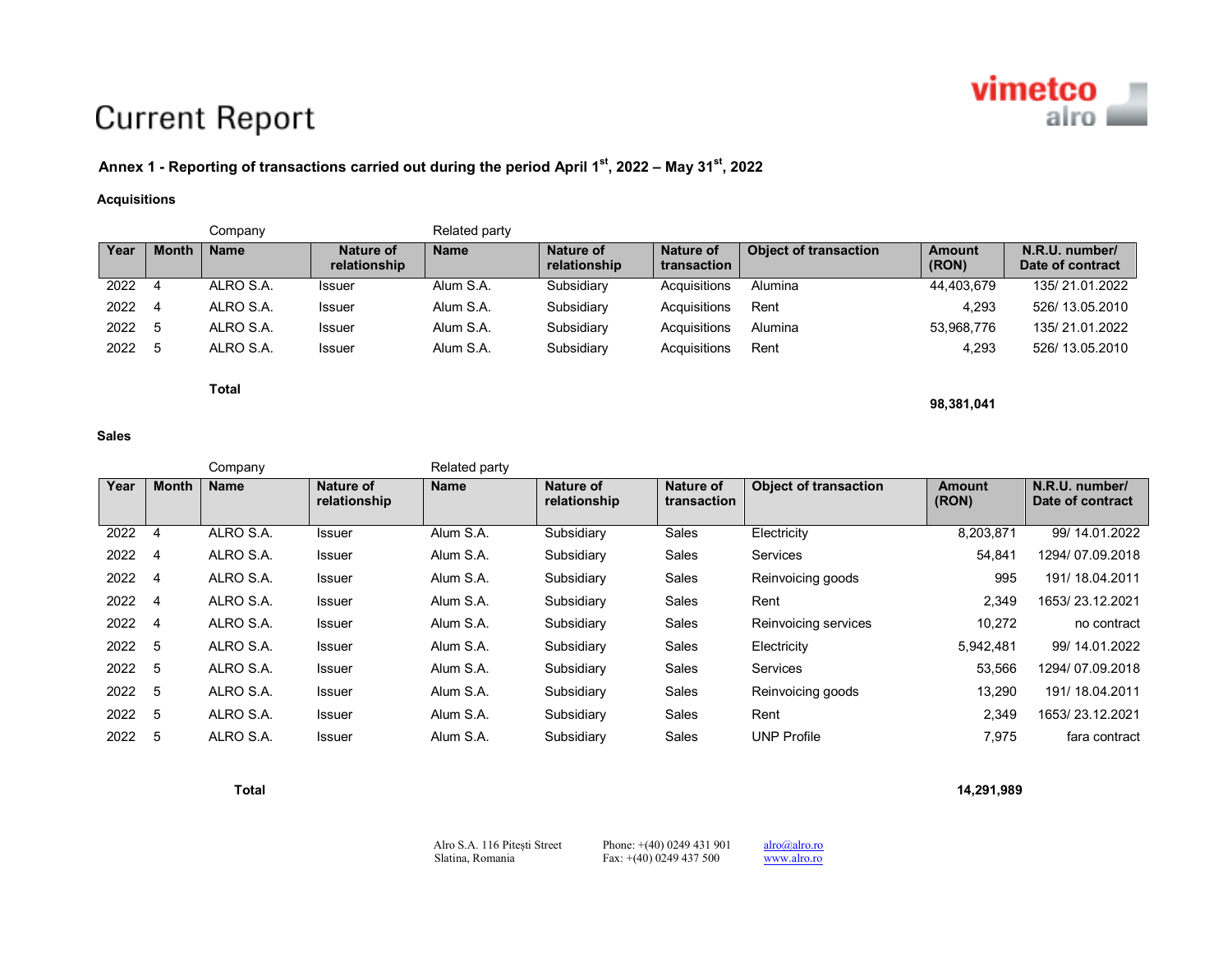# **vimetco**<br>airo

# **Current Report**

### **Annex 1 - Reporting of transactions carried out during the period April 1st, 2022 – May 31st, <sup>2022</sup>**

#### **Acquisitions**

|      |              | ompanyٽ     |                           | Related party |                           |                          |                              |                        |                                    |
|------|--------------|-------------|---------------------------|---------------|---------------------------|--------------------------|------------------------------|------------------------|------------------------------------|
| Year | <b>Month</b> | <b>Name</b> | Nature of<br>relationship | <b>Name</b>   | Nature of<br>relationship | Nature of<br>transaction | <b>Object of transaction</b> | <b>Amount</b><br>(RON) | N.R.U. number/<br>Date of contract |
| 2022 |              | ALRO S.A.   | <b>Issuer</b>             | Alum S.A.     | Subsidiary                | Acquisitions             | Alumina                      | 44.403.679             | 135/21.01.2022                     |
| 2022 |              | ALRO S.A.   | <b>Issuer</b>             | Alum S.A.     | Subsidiary                | Acquisitions             | Rent                         | 4.293                  | 526/13.05.2010                     |
| 2022 |              | ALRO S.A.   | <b>Issuer</b>             | Alum S.A.     | Subsidiary                | Acquisitions             | Alumina                      | 53,968,776             | 135/21.01.2022                     |
| 2022 |              | ALRO S.A.   | <b>Issuer</b>             | Alum S.A.     | Subsidiary                | Acquisitions             | Rent                         | 4.293                  | 526/13.05.2010                     |

 **Total** 

#### **Sales**

Company **Company** Related party **Year | Month | Name | Nature of relationship** Name **Nature of relationship Nature of transaction Object of transaction | Amount (RON) N.R.U. number/ Date of contract** 2022 4 ALRO S.A. Issuer Alum S.A. Subsidiary Sales Electricity 8,203,871 99/ 14.01.2022 2022 4 ALRO S.A. Issuer Alum S.A. Subsidiary Sales Services 54,841 1294/ 07.09.2018 2022 4 ALRO S.A. Issuer Alum S.A. Subsidiary Sales Reinvoicing goods 995 191/ 18.04.2011 2022 4 ALRO S.A. Issuer Alum S.A. Subsidiary Sales Rent 2,349 1653/ 23.12.2021 2022 4 ALRO S.A. Issuer Alum S.A. Subsidiary Sales Reinvoicing services 10,272 no contract 2022 5 ALRO S.A. Issuer Alum S.A. Subsidiary Sales Electricity 5,942,481 99/ 14.01.2022 2022 5 ALRO S.A. Issuer Alum S.A. Subsidiary Sales Services 53,566 1294/ 07.09.2018 2022 5 ALRO S.A. Issuer Alum S.A. Subsidiary Sales Reinvoicing goods 13,290 191/ 18.04.2011 2022 5 ALRO S.A. Issuer Alum S.A. Subsidiary Sales Rent 2,349 1653/ 23.12.2021 2022 5 ALRO S.A. Issuer Alum S.A. Subsidiary Sales UNP Profile 7,975 fara contract

**Total 14,291,989**

**98,381,041** 

Alro S.A. 116 Pitești Street Phone: +(40) 0249 431 901 alro@alro.roSlatina, Romania Fax: +(40) 0249 437 500

www.alro.ro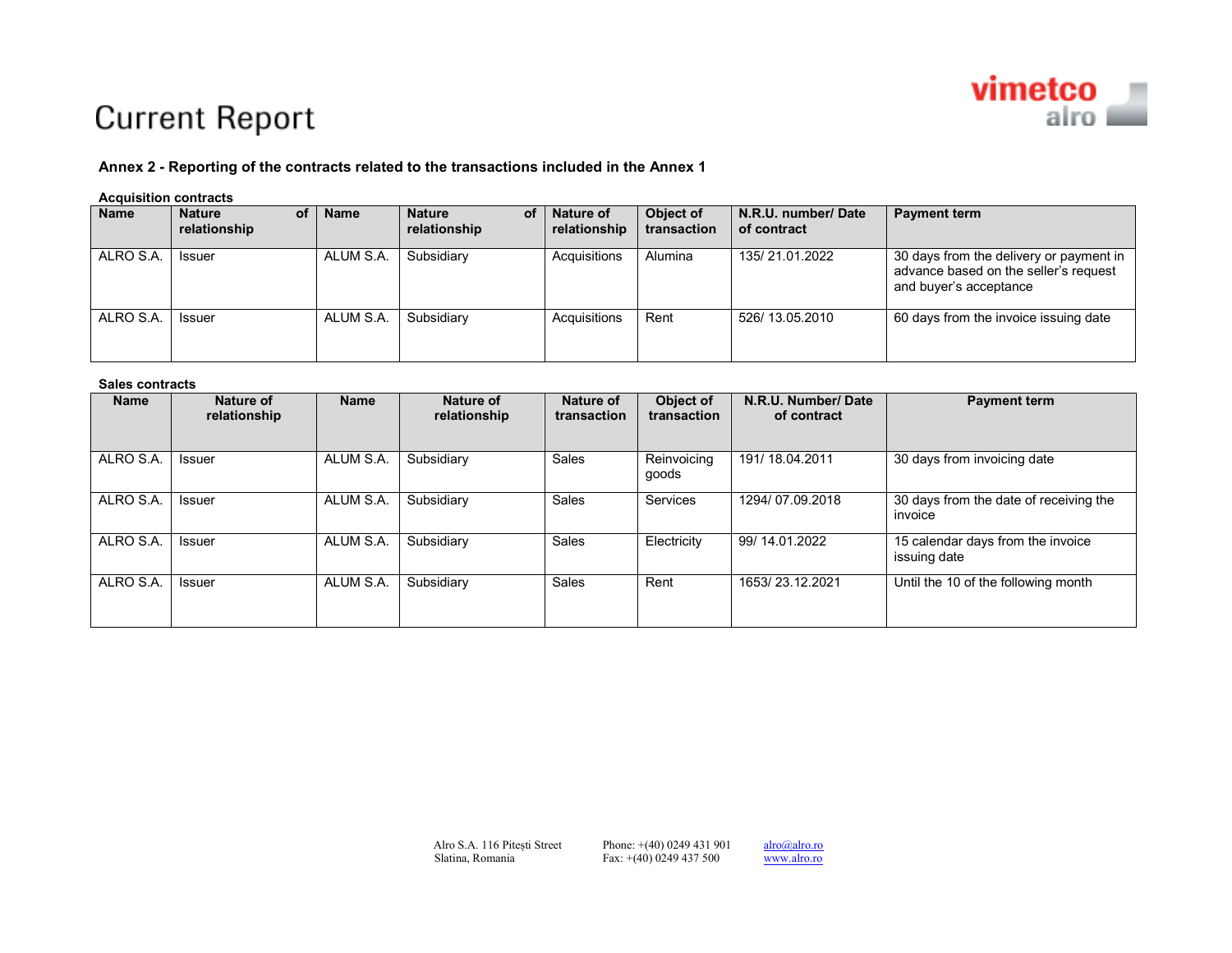

## **Current Report**

#### **Annex 2 - Reporting of the contracts related to the transactions included in the Annex 1**

#### **Acquisition contracts**

| <b>Name</b> | οf<br><b>Nature</b><br>relationship | <b>Name</b> | <b>Nature</b><br><b>of</b><br>relationship | <b>Nature of</b><br>relationship | Object of<br>transaction | N.R.U. number/Date<br>of contract | <b>Payment term</b>                                                                                        |
|-------------|-------------------------------------|-------------|--------------------------------------------|----------------------------------|--------------------------|-----------------------------------|------------------------------------------------------------------------------------------------------------|
| ALRO S.A.   | Issuer                              | ALUM S.A.   | Subsidiary                                 | Acquisitions                     | Alumina                  | 135/21.01.2022                    | 30 days from the delivery or payment in<br>advance based on the seller's request<br>and buyer's acceptance |
| ALRO S.A.   | <b>Issuer</b>                       | ALUM S.A.   | Subsidiary                                 | Acquisitions                     | Rent                     | 526/13.05.2010                    | 60 days from the invoice issuing date                                                                      |

#### **Sales contracts**

| <b>Name</b> | Nature of<br>relationship | <b>Name</b> | Nature of<br>relationship | Nature of<br>transaction | Object of<br>transaction | N.R.U. Number/Date<br>of contract | <b>Payment term</b>                               |
|-------------|---------------------------|-------------|---------------------------|--------------------------|--------------------------|-----------------------------------|---------------------------------------------------|
| ALRO S.A.   | <b>Issuer</b>             | ALUM S.A.   | Subsidiary                | Sales                    | Reinvoicing<br>goods     | 191/18.04.2011                    | 30 days from invoicing date                       |
| ALRO S.A.   | <b>Issuer</b>             | ALUM S.A.   | Subsidiary                | Sales                    | Services                 | 1294/07.09.2018                   | 30 days from the date of receiving the<br>invoice |
| ALRO S.A.   | <b>Issuer</b>             | ALUM S.A.   | Subsidiary                | Sales                    | Electricity              | 99/14.01.2022                     | 15 calendar days from the invoice<br>issuing date |
| ALRO S.A.   | <b>Issuer</b>             | ALUM S.A.   | Subsidiary                | Sales                    | Rent                     | 1653/23.12.2021                   | Until the 10 of the following month               |

www.alro.ro